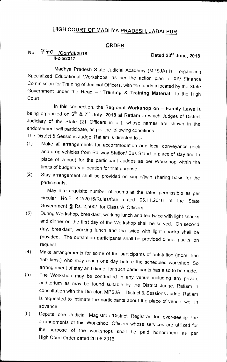## **HIGH COURT OF MADHYA PRADESH, JABALPUR**

## **ORDER**

## **No.**  $770$  /Confd1/2018 Dated 23<sup>rd</sup> June, 2018

Madhya Pradesh State Judicial Academy (MPSJA) is organizing Specialized Educational Workshops, as per the action plan of XIV Finance Commission for Training of Judicial Officers, with the funds allocated by the State Government under the Head — **"Training & Training Material"** to the High Court.

In this connection, the **Regional Workshop on — Family Laws** is being organized on 6th & 7th Jul**y**, **2018** at **Ratlam** in which Judges of District Judiciary of the State (21 Officers in all), whose names are shown in the endorsement will participate, as per the following conditions:

The District & Sessions Judge, Ratlam is directed to :-

- (1) Make all arrangements for accommodation and local conveyance (pick and drop vehicles from Railway Station/ Bus Stand to place of stay and to place of venue) for the participant Judges as per Workshop within the limits of budgetary allocation for that purpose.
- (2) Stay arrangement shall be provided on single/twin sharing basis for the participants.

May hire requisite number of rooms at the rates permissible as per circular No.F 4-2/2016/Rules/four dated 05.11.2016 of the State Government @ Rs. 2,500/- for Class 'A' Officers.

- (3) During Workshop, breakfast, working lunch and tea twice with light snacks and dinner on the first day of the Workshop shall be served. On second day, breakfast, working lunch and tea twice with light snacks shall be provided. The outstation participants shall be provided dinner packs, on request.
- (4) Make arrangements for some of the participants of outstation (more than 150 kms.) who may reach one day before the scheduled workshop. So arrangement of stay and dinner for such participants has also to be made.
- (5) The Workshop may be conducted in any venue including any private auditorium as may be found suitable by the District Judge, Ratlam in consultation with the Director, MPSJA. District & Sessions Judge, Ratlam is requested to intimate the participants about the place of venue, well in advance.
- (6) Depute one Judicial Magistrate/District Registrar for over-seeing the arrangements of this Workshop. Officers whose services are utilized for the purpose of the workshops shall be paid honorarium as per High Court Order dated 26.08.2016.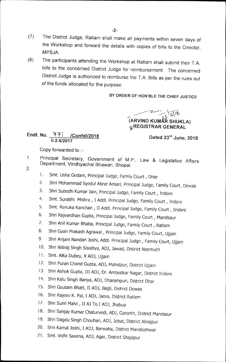- (7) The District Judge, Ratlam shall make all payments within seven days of the Workshop and forward the details with copies of bills to the Director, MPSJA.
- (8) The participants attending the Workshop at Ratlam shall submit their T.A. bills to the concerned District Judge for reimbursement. The concerned District Judge is authorized to reimburse the T.A. Bills as per the rules out of the funds allocated for the purpose.

**BY ORDER OF HON'BLE THE CHIEF JUSTICE** 

216/18 (ARVIND KUMAR SHUKLA) **REGISTRAR GENERAL** 

## **Endt. No.**  $\frac{44}{1}$  /Confdl/2018 **Dated 23<sup>rd</sup> June, 2018**

Copy forwarded to :-

- 1 Principal Secretary, Government of M.P., Law & Legislative Affairs Department, Vindhyachal Bhawan, Bhopal.
- $2<sub>1</sub>$
- 1. Smt. Usha Gedam, Principal Judge, Family Court, Dhar
- 2. Shri Mohammad Syedu! Abrar Ansari, Principal Judge, Family Court, Dewas
- 3. Shri Subodh Kumar Jain, Principal Judge, Family Court, Indore
- 4. Smt. Surabhi Mishra, I Addl. Principal Judge, Family Court, Indore
- 5. Smt. Renuka Kanchan , II Addl. Principal Judge, Family Court, Indore
- 6. Shri Rajvardhan Gupta, Principal Judge, Family Court, Mandsaur
- 7. Shri Anil Kumar Bhatia, Principal Judge, Family Court, Ratlam
- 8. Shri Gyan Prakash Agrawal , Principal Judge, Family Court, Ujjain
- 9. Shri Anjani Nandan Joshi, Addl. Principal Judge, Family Court, Ujjain
- 10. Shri Nitiraj Singh Sisodiya, ADJ, Jawad, District Neemuch
- 11. Smt. Alka Dubey, X ADJ, Ujjain
- 12. Shri Puran Chand Gupta, ADJ, Mahidpur, District Ujjain
- 13. Shri Ashok Gupta, III ADJ, Dr. Ambedkar Nagar, District Indore
- 14. Shri Kalu Singh Bariya, ADJ, Dharampuri, District Dhar
- 15. Shri Goutam Bhatt, II ADJ, Bagli, District Dewas
- 16. Shri Rajeev K. Pal, I ADJ, Jaora, District Ratlam
- 17. Shri Sunil Malvi, II AJ To I ADJ, Jhabua
- 18. Shri Sanjay Kumar Chaturvedi, ADJ, Garonth, District Mandsaur
- 19. Shri Dagdu Singh Chouhan, AD], Jobat, District Alirajpur
- 20. Shri Kamal Joshi, I ADJ, Barwaha, District Mandleshwar
- 21. Smt. Vidhi Saxena, ADJ, Agar, District Shajapur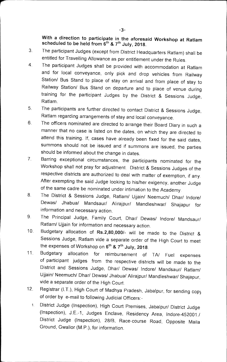**With a direction to participate in the aforesaid Workshop at Ratlam**  scheduled to be held from 6<sup>th</sup> & 7<sup>th</sup> July, 2018.

- 3. The participant Judges (except from District Headquarters Ratlam) shall be entitled for Travelling Allowance as per entitlement under the Rules.
- 4 The participant Judges shall be provided with accommodation at Ratlam and for local conveyance, only pick and drop vehicles from Railway Station/ Bus Stand to place of stay on arrival and from place of stay to Railway Station/ Bus Stand on departure and to place of venue during training for the participant Judges by the District & Sessions Judge, Ratlam.
- 5 The participants are further directed to contact District & Sessions Judge, Ratlam regarding arrangements of stay and local conveyance.
- 6 The officers nominated are directed to arrange their Board Diary in such a manner that no case is listed on the dates, on which they are directed to attend this training. If, cases have already been fixed for the said dates, summons should not be issued and if summons are issued, the parties should be informed about the change in dates.
- 7 Barring exceptional circumstances, the participants nominated for the Workshop shall not pray for adjustment. District & Sessions Judges of the respective districts are authorized to deal with matter of exemption, if any. After exempting the said Judge looking to his/her exigency, another Judge of the same cadre be nominated under intimation to the Academy.
- 8. The District & Sessions Judge, Ratlam/ Ujjain/ Neemuch/ Dhar/ Indore/ Dewas/ Jhabua/ Mandsaur/ Alirajpur/ Mandleshwar/ Shajapur for information and necessary action.
- 9. The Principal Judge, Family Court, Dhar/ Dewas/ Indore/ Mandsaur/ Ratlam/ Ujjain for information and necessary action.
- 10. Budgetary allocation of **Rs.2,80,000/-** will be made to the District & Sessions Judge, Ratlam vide a separate order of the High Court to meet the expenses of Workshop on 6<sup>th</sup> & 7<sup>th</sup> July, 2018.
- 11. Budgetary allocation for reimbursement of TA/ Fuel expenses of participant judges from the respective districts will be made to the District and Sessions Judge, Dhar/ Dewas/ lndore/ Mandsaur/ Ratlam/ Ujjain/ Neemuch/ Dhar/ Dewas/ Jhabua/ Alirajpur/ Mandleshwar/ Shajapur, vide a separate order of the High Court.
- 12. Registrar (1.T.), High Court of Madhya Pradesh, Jabalpur, for sending copy of order by e-mail to following Judicial Officers:-
	- 1. District Judge (Inspection), High Court Premises, Jabalpur/ District Judge (Inspection), J.E.-1, Judges Enclave, Residency Area, Indore-452001./ District Judge (Inspection), 28/B, Race-course Road, Opposite Maila Ground, Gwalior (M.P.), for information.